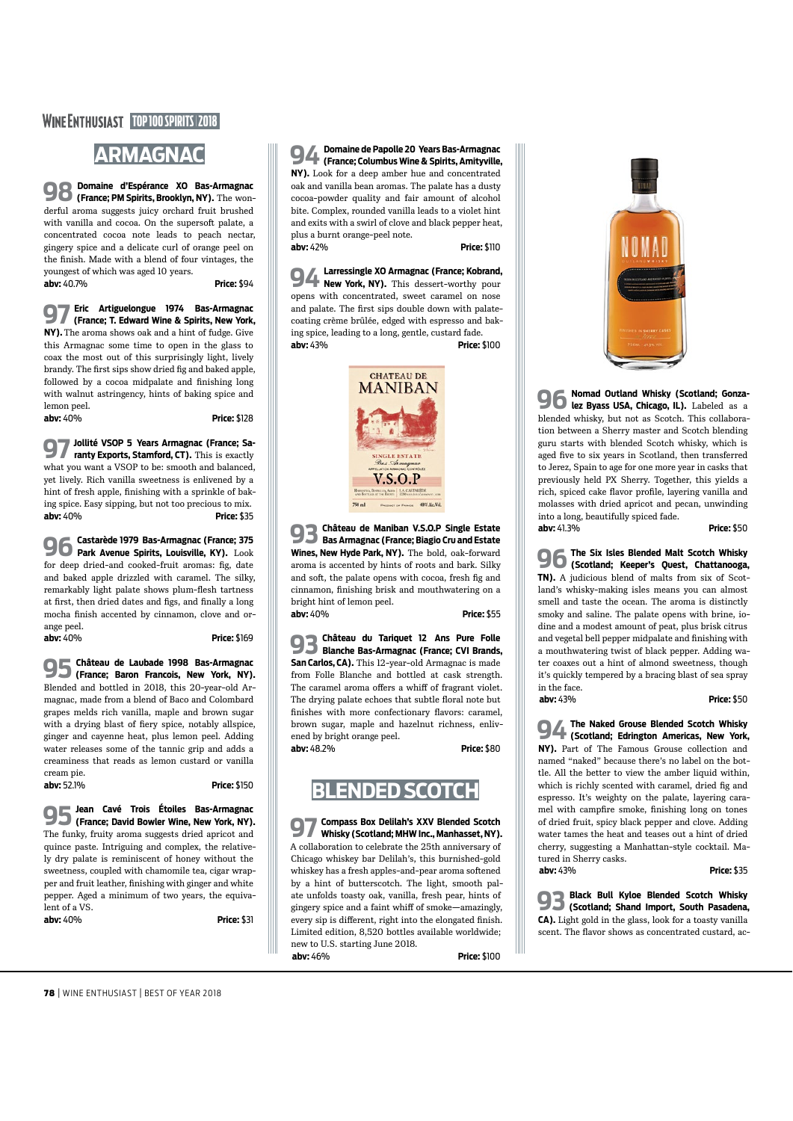#### **WINE ENTHUSIAST TOP 100 SPIRITS 2018**

# **ARMAGNAC**

**98 Domaine d'Espérance XO Bas-Armagnac (France; PM Spirits, Brooklyn, NY).** The wonderful aroma suggests juicy orchard fruit brushed with vanilla and cocoa. On the supersoft palate, a concentrated cocoa note leads to peach nectar, gingery spice and a delicate curl of orange peel on the fnish. Made with a blend of four vintages, the youngest of which was aged 10 years. **abv:** 40.7% **Price:** \$94

**97 Eric Artiguelongue 1974 Bas-Armagnac (France; T. Edward Wine & Spirits, New York,** 

**NY).** The aroma shows oak and a hint of fudge. Give this Armagnac some time to open in the glass to coax the most out of this surprisingly light, lively brandy. The frst sips show dried fg and baked apple, followed by a cocoa midpalate and finishing long with walnut astringency, hints of baking spice and lemon peel.

**96** Castarède 1979 Bas-Armagnac (France; 375<br>Dark Avenue Spirits, Louisville, KY), Look **Park Avenue Spirits, Louisville, KY).** Look for deep dried-and cooked-fruit aromas: fg, date and baked apple drizzled with caramel. The silky, remarkably light palate shows plum-flesh tartness at first, then dried dates and figs, and finally a long mocha fnish accented by cinnamon, clove and orange peel. **abv:** 40% **Price:** \$169

**abv:** 40% **Price:** \$128

**97 Jollité VSOP 5 Years Armagnac (France; Sa-ranty Exports, Stamford, CT).** This is exactly what you want a VSOP to be: smooth and balanced, yet lively. Rich vanilla sweetness is enlivened by a hint of fresh apple, fnishing with a sprinkle of baking spice. Easy sipping, but not too precious to mix. **abv:** 40% **Price:** \$35

**95 Château de Laubade 1998 Bas-Armagnac (France; Baron Francois, New York, NY).** Blended and bottled in 2018, this 20-year-old Armagnac, made from a blend of Baco and Colombard grapes melds rich vanilla, maple and brown sugar with a drying blast of fiery spice, notably allspice, ginger and cayenne heat, plus lemon peel. Adding water releases some of the tannic grip and adds a creaminess that reads as lemon custard or vanilla cream pie.

**abv:** 52.1% **Price:** \$150

## **95Jean Cavé Trois Étoiles Bas-Armagnac (France; David Bowler Wine, New York, NY).** The funky, fruity aroma suggests dried apricot and

quince paste. Intriguing and complex, the relatively dry palate is reminiscent of honey without the sweetness, coupled with chamomile tea, cigar wrapper and fruit leather, fnishing with ginger and white pepper. Aged a minimum of two years, the equivalent of a VS.

**abv:** 40% **Price:** \$31

**94 Domaine de Papolle 20 Years Bas-Armagnac (France; Columbus Wine & Spirits, Amityville, NY).** Look for a deep amber hue and concentrated oak and vanilla bean aromas. The palate has a dusty cocoa-powder quality and fair amount of alcohol bite. Complex, rounded vanilla leads to a violet hint and exits with a swirl of clove and black pepper heat, plus a burnt orange-peel note. **abv:** 42% **Price:** \$110

**94 Larressingle XO Armagnac (France; Kobrand, New York, NY).** This dessert-worthy pour opens with concentrated, sweet caramel on nose and palate. The frst sips double down with palatecoating crème brûlée, edged with espresso and baking spice, leading to a long, gentle, custard fade. **abv:** 43% **Price:** \$100



**93 Black Bull Kyloe Blended Scotch Whisky (Scotland; Shand Import, South Pasadena, CA).** Light gold in the glass, look for a toasty vanilla scent. The flavor shows as concentrated custard, ac-

**93 Château de Maniban V.S.O.P Single Estate Bas Armagnac (France; Biagio Cru and Estate Wines, New Hyde Park, NY).** The bold, oak-forward aroma is accented by hints of roots and bark. Silky and soft, the palate opens with cocoa, fresh fig and cinnamon, fnishing brisk and mouthwatering on a bright hint of lemon peel. **abv:** 40% **Price:** \$55

**93 Château du Tariquet 12 Ans Pure Folle Blanche Bas-Armagnac (France; CVI Brands, San Carlos, CA).** This 12-year-old Armagnac is made from Folle Blanche and bottled at cask strength. The caramel aroma offers a whiff of fragrant violet. The drying palate echoes that subtle floral note but finishes with more confectionary flavors: caramel, brown sugar, maple and hazelnut richness, enlivened by bright orange peel. **abv:** 48.2% **Price:** \$80



**97 Compass Box Delilah's XXV Blended Scotch Whisky (Scotland; MHW Inc., Manhasset, NY).** A collaboration to celebrate the 25th anniversary of Chicago whiskey bar Delilah's, this burnished-gold whiskey has a fresh apples-and-pear aroma sofened by a hint of butterscotch. The light, smooth palate unfolds toasty oak, vanilla, fresh pear, hints of gingery spice and a faint whiff of smoke—amazingly, every sip is diferent, right into the elongated fnish. Limited edition, 8,520 bottles available worldwide; new to U.S. starting June 2018.  **abv:** 46% **Price:** \$100



**96 Nomad Outland Whisky (Scotland; Gonza-lez Byass USA, Chicago, IL).** Labeled as a blended whisky, but not as Scotch. This collaboration between a Sherry master and Scotch blending guru starts with blended Scotch whisky, which is aged fve to six years in Scotland, then transferred to Jerez, Spain to age for one more year in casks that previously held PX Sherry. Together, this yields a rich, spiced cake favor profle, layering vanilla and molasses with dried apricot and pecan, unwinding into a long, beautifully spiced fade. **abv:** 41.3% **Price:** \$50

**96The Six Isles Blended Malt Scotch Whisky (Scotland; Keeper's Quest, Chattanooga, TN).** A judicious blend of malts from six of Scotland's whisky-making isles means you can almost smell and taste the ocean. The aroma is distinctly smoky and saline. The palate opens with brine, iodine and a modest amount of peat, plus brisk citrus and vegetal bell pepper midpalate and fnishing with a mouthwatering twist of black pepper. Adding water coaxes out a hint of almond sweetness, though it's quickly tempered by a bracing blast of sea spray in the face.

 **abv:** 43% **Price:** \$50

**94The Naked Grouse Blended Scotch Whisky (Scotland; Edrington Americas, New York, NY).** Part of The Famous Grouse collection and named "naked" because there's no label on the bottle. All the better to view the amber liquid within, which is richly scented with caramel, dried fg and espresso. It's weighty on the palate, layering caramel with campfre smoke, fnishing long on tones of dried fruit, spicy black pepper and clove. Adding water tames the heat and teases out a hint of dried cherry, suggesting a Manhattan-style cocktail. Matured in Sherry casks.

 **abv:** 43% **Price:** \$35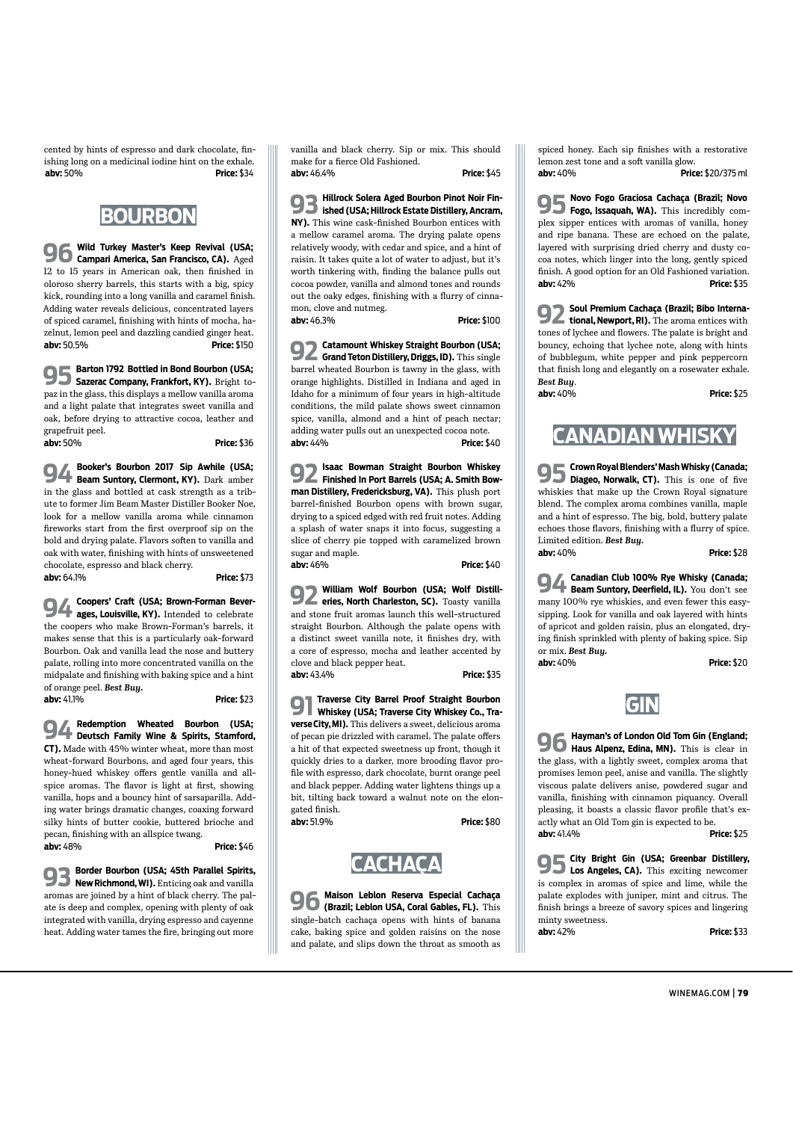cented by hints of espresso and dark chocolate, fnishing long on a medicinal iodine hint on the exhale.  **abv:** 50% **Price:** \$34



**96 Wild Turkey Master's Keep Revival (USA; Campari America, San Francisco, CA).** Aged 12 to 15 years in American oak, then fnished in oloroso sherry barrels, this starts with a big, spicy kick, rounding into a long vanilla and caramel fnish. Adding water reveals delicious, concentrated layers of spiced caramel, fnishing with hints of mocha, hazelnut, lemon peel and dazzling candied ginger heat. **abv:** 50.5% **Price:** \$150

**95 Barton 1792 Bottled in Bond Bourbon (USA; Sazerac Company, Frankfort, KY).** Bright topaz in the glass, this displays a mellow vanilla aroma and a light palate that integrates sweet vanilla and oak, before drying to attractive cocoa, leather and grapefruit peel. **abv:** 50% **Price:** \$36

**94 Booker's Bourbon 2017 Sip Awhile (USA; Beam Suntory, Clermont, KY).** Dark amber in the glass and bottled at cask strength as a tribute to former Jim Beam Master Distiller Booker Noe, look for a mellow vanilla aroma while cinnamon freworks start from the frst overproof sip on the bold and drying palate. Flavors soften to vanilla and oak with water, fnishing with hints of unsweetened chocolate, espresso and black cherry.

**abv:** 64.1% **Price:** \$73

**94 Coopers' Craf (USA; Brown-Forman Bever-ages, Louisville, KY).** Intended to celebrate the coopers who make Brown-Forman's barrels, it makes sense that this is a particularly oak-forward Bourbon. Oak and vanilla lead the nose and buttery palate, rolling into more concentrated vanilla on the midpalate and fnishing with baking spice and a hint of orange peel. *Best Buy.* **abv:** 41.1% **Price:** \$23

**94 Redemption Wheated Bourbon (USA; Deutsch Family Wine & Spirits, Stamford, CT).** Made with 45% winter wheat, more than most wheat-forward Bourbons, and aged four years, this honey-hued whiskey offers gentle vanilla and allspice aromas. The flavor is light at first, showing vanilla, hops and a bouncy hint of sarsaparilla. Adding water brings dramatic changes, coaxing forward silky hints of butter cookie, buttered brioche and pecan, fnishing with an allspice twang.

**abv:** 48%

**93 Border Bourbon (USA; 45th Parallel Spirits, New Richmond, WI).** Enticing oak and vanilla aromas are joined by a hint of black cherry. The palate is deep and complex, opening with plenty of oak integrated with vanilla, drying espresso and cayenne heat. Adding water tames the fre, bringing out more

vanilla and black cherry. Sip or mix. This should make for a ferce Old Fashioned.

**abv:** 46.4% **Price:** \$45

**93 Hillrock Solera Aged Bourbon Pinot Noir Fin-ished (USA; Hillrock Estate Distillery, Ancram, NY).** This wine cask-fnished Bourbon entices with a mellow caramel aroma. The drying palate opens relatively woody, with cedar and spice, and a hint of raisin. It takes quite a lot of water to adjust, but it's worth tinkering with, fnding the balance pulls out cocoa powder, vanilla and almond tones and rounds out the oaky edges, fnishing with a furry of cinnamon, clove and nutmeg.

**abv:** 46.3% **Price:** \$100

**92 Catamount Whiskey Straight Bourbon (USA; Grand Teton Distillery, Driggs, ID).** This single barrel wheated Bourbon is tawny in the glass, with orange highlights. Distilled in Indiana and aged in Idaho for a minimum of four years in high-altitude conditions, the mild palate shows sweet cinnamon spice, vanilla, almond and a hint of peach nectar; adding water pulls out an unexpected cocoa note. **abv:** 44% **Price:** \$40

**92 Isaac Bowman Straight Bourbon Whiskey Finished In Port Barrels (USA; A. Smith Bowman Distillery, Fredericksburg, VA).** This plush port barrel-fnished Bourbon opens with brown sugar, drying to a spiced edged with red fruit notes. Adding a splash of water snaps it into focus, suggesting a slice of cherry pie topped with caramelized brown sugar and maple. **abv:** 46% **Price:** \$40

**92 William Wolf Bourbon (USA; Wolf Distill-eries, North Charleston, SC).** Toasty vanilla and stone fruit aromas launch this well-structured straight Bourbon. Although the palate opens with a distinct sweet vanilla note, it fnishes dry, with a core of espresso, mocha and leather accented by clove and black pepper heat. **abv:** 43.4% **Price:** \$35

**91 Traverse City Barrel Proof Straight Bourbon Whiskey (USA; Traverse City Whiskey Co., Traverse City, MI).** This delivers a sweet, delicious aroma of pecan pie drizzled with caramel. The palate offers a hit of that expected sweetness up front, though it quickly dries to a darker, more brooding flavor profle with espresso, dark chocolate, burnt orange peel and black pepper. Adding water lightens things up a bit, tilting back toward a walnut note on the elongated fnish. **abv:** 51.9% **Price:** \$80



**96 Maison Leblon Reserva Especial Cachaça (Brazil; Leblon USA, Coral Gables, FL).** This single-batch cachaça opens with hints of banana cake, baking spice and golden raisins on the nose and palate, and slips down the throat as smooth as

spiced honey. Each sip fnishes with a restorative lemon zest tone and a soft vanilla glow. **abv:** 40% **Price:** \$20/375 ml

**95 Novo Fogo Graciosa Cachaça (Brazil; Novo Fogo, Issaquah, WA).** This incredibly complex sipper entices with aromas of vanilla, honey and ripe banana. These are echoed on the palate, layered with surprising dried cherry and dusty cocoa notes, which linger into the long, gently spiced finish. A good option for an Old Fashioned variation. **abv:** 42% **Price:** \$35

**92 Soul Premium Cachaça (Brazil; Bibo Interna-tional, Newport, RI).** The aroma entices with tones of lychee and flowers. The palate is bright and bouncy, echoing that lychee note, along with hints of bubblegum, white pepper and pink peppercorn that fnish long and elegantly on a rosewater exhale. *Best Buy*.

**abv:** 40% **Price:** \$25



**95 Crown Royal Blenders' Mash Whisky (Canada; Diageo, Norwalk, CT).** This is one of fve whiskies that make up the Crown Royal signature blend. The complex aroma combines vanilla, maple and a hint of espresso. The big, bold, buttery palate echoes those favors, fnishing with a furry of spice. Limited edition. *Best Buy.* **abv:** 40% **Price:** \$28

**94 Canadian Club 100% Rye Whisky (Canada; Beam Suntory, Deerfield, IL).** You don't see many 100% rye whiskies, and even fewer this easysipping. Look for vanilla and oak layered with hints of apricot and golden raisin, plus an elongated, drying fnish sprinkled with plenty of baking spice. Sip or mix. *Best Buy.*

**abv:** 40% **Price:** \$20



**96 Hayman's of London Old Tom Gin (England; Haus Alpenz, Edina, MN).** This is clear in the glass, with a lightly sweet, complex aroma that promises lemon peel, anise and vanilla. The slightly viscous palate delivers anise, powdered sugar and vanilla, fnishing with cinnamon piquancy. Overall pleasing, it boasts a classic flavor profile that's exactly what an Old Tom gin is expected to be. **abv:** 41.4% **Price:** \$25

**95 City Bright Gin (USA; Greenbar Distillery, Los Angeles, CA).** This exciting newcomer is complex in aromas of spice and lime, while the palate explodes with juniper, mint and citrus. The fnish brings a breeze of savory spices and lingering minty sweetness.

**abv:** 42% **Price:** \$33

WINEMAG.COM | 79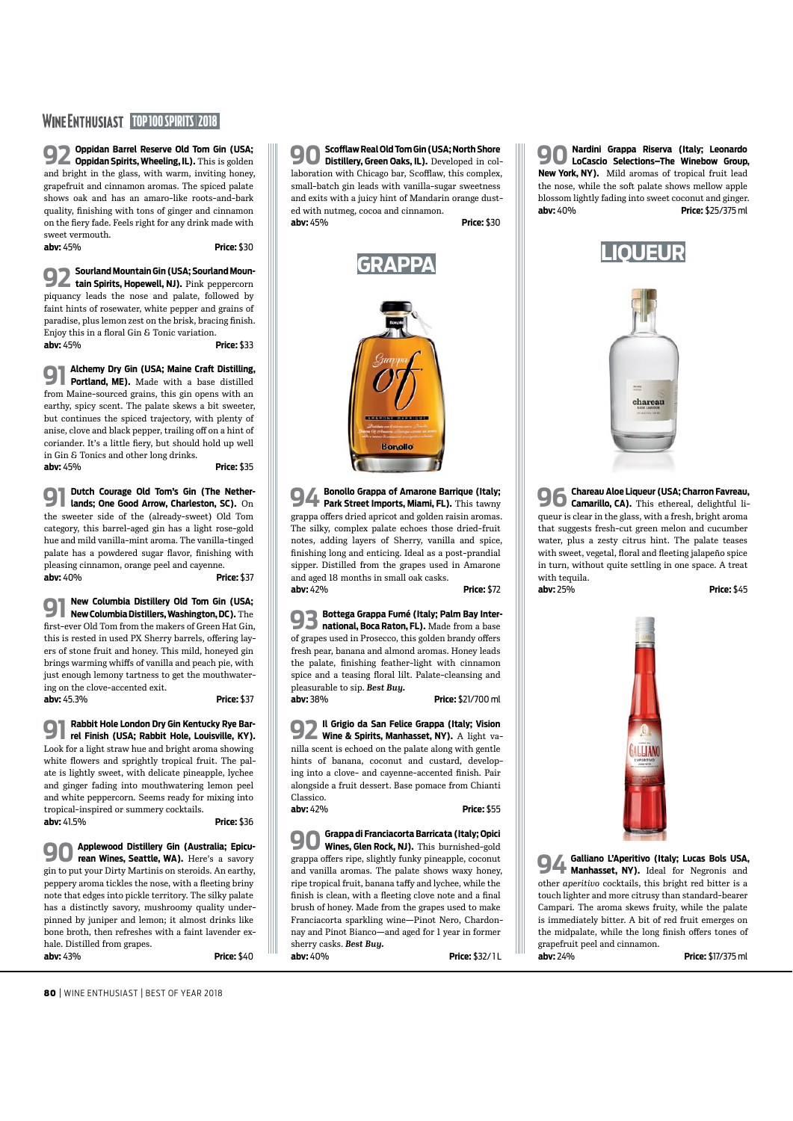### **WINE ENTHUSIAST TOP 100 SPIRITS | 2018**

**92 Oppidan Barrel Reserve Old Tom Gin (USA; Oppidan Spirits, Wheeling, IL).** This is golden and bright in the glass, with warm, inviting honey, grapefruit and cinnamon aromas. The spiced palate shows oak and has an amaro-like roots-and-bark quality, fnishing with tons of ginger and cinnamon on the fery fade. Feels right for any drink made with sweet vermouth.

**abv:** 45% **Price:** \$30

**91 Alchemy Dry Gin (USA; Maine Craft Distilling, Portland, ME).** Made with a base distilled from Maine-sourced grains, this gin opens with an earthy, spicy scent. The palate skews a bit sweeter, but continues the spiced trajectory, with plenty of anise, clove and black pepper, trailing off on a hint of coriander. It's a little fery, but should hold up well in Gin & Tonics and other long drinks.

**92 Sourland Mountain Gin (USA; Sourland Moun-tain Spirits, Hopewell, NJ).** Pink peppercorn piquancy leads the nose and palate, followed by faint hints of rosewater, white pepper and grains of paradise, plus lemon zest on the brisk, bracing fnish. Enjoy this in a floral Gin & Tonic variation. **abv:** 45% **Price:** \$33

**abv:** 45% **Price:** \$35

**91 Dutch Courage Old Tom's Gin (The Nether-lands; One Good Arrow, Charleston, SC).** On the sweeter side of the (already-sweet) Old Tom category, this barrel-aged gin has a light rose-gold hue and mild vanilla-mint aroma. The vanilla-tinged palate has a powdered sugar flavor, finishing with pleasing cinnamon, orange peel and cayenne. **abv:** 40% **Price:** \$37

**91 New Columbia Distillery Old Tom Gin (USA; New Columbia Distillers, Washington, DC).** The frst-ever Old Tom from the makers of Green Hat Gin, this is rested in used PX Sherry barrels, offering layers of stone fruit and honey. This mild, honeyed gin brings warming whifs of vanilla and peach pie, with just enough lemony tartness to get the mouthwatering on the clove-accented exit. **abv:** 45.3% **Price:** \$37

**91 Rabbit Hole London Dry Gin Kentucky Rye Bar-rel Finish (USA; Rabbit Hole, Louisville, KY).** Look for a light straw hue and bright aroma showing white flowers and sprightly tropical fruit. The palate is lightly sweet, with delicate pineapple, lychee and ginger fading into mouthwatering lemon peel and white peppercorn. Seems ready for mixing into tropical-inspired or summery cocktails. **abv:** 41.5% **Price:** \$36

**90 Applewood Distillery Gin (Australia; Epicu-rean Wines, Seattle, WA).** Here's a savory gin to put your Dirty Martinis on steroids. An earthy, peppery aroma tickles the nose, with a fleeting briny note that edges into pickle territory. The silky palate has a distinctly savory, mushroomy quality underpinned by juniper and lemon; it almost drinks like bone broth, then refreshes with a faint lavender exhale. Distilled from grapes.

**96 Chareau Aloe Liqueur (USA; Charron Favreau, charron Favreau, canarillo, CA).** This ethereal, delightful liqueur is clear in the glass, with a fresh, bright aroma that suggests fresh-cut green melon and cucumber water, plus a zesty citrus hint. The palate teases with sweet, vegetal, floral and fleeting jalapeño spice in turn, without quite settling in one space. A treat with tequila.

**abv:** 43% **Price:** \$40

**90Scofaw Real Old Tom Gin (USA; North Shore Distillery, Green Oaks, IL).** Developed in collaboration with Chicago bar, Scofflaw, this complex, small-batch gin leads with vanilla-sugar sweetness and exits with a juicy hint of Mandarin orange dusted with nutmeg, cocoa and cinnamon.

**abv:** 45% **Price:** \$30



**94 Bonollo Grappa of Amarone Barrique (Italy; Park Street Imports, Miami, FL).** This tawny grappa offers dried apricot and golden raisin aromas. The silky, complex palate echoes those dried-fruit notes, adding layers of Sherry, vanilla and spice, fnishing long and enticing. Ideal as a post-prandial sipper. Distilled from the grapes used in Amarone and aged 18 months in small oak casks. **abv:** 42% **Price:** \$72

**93 Bottega Grappa Fumé (Italy; Palm Bay Inter-national, Boca Raton, FL).** Made from a base of grapes used in Prosecco, this golden brandy offers fresh pear, banana and almond aromas. Honey leads the palate, fnishing feather-light with cinnamon spice and a teasing floral lilt. Palate-cleansing and pleasurable to sip. *Best Buy.*

**abv:** 38% **Price:** \$21/700 ml

**92 Il Grigio da San Felice Grappa (Italy; Vision Wine & Spirits, Manhasset, NY).** A light vanilla scent is echoed on the palate along with gentle hints of banana, coconut and custard, developing into a clove- and cayenne-accented fnish. Pair alongside a fruit dessert. Base pomace from Chianti Classico.

**abv:** 42% **Price:** \$55

**90Grappa di Franciacorta Barricata (Italy; Opici Wines, Glen Rock, NJ).** This burnished-gold grappa offers ripe, slightly funky pineapple, coconut and vanilla aromas. The palate shows waxy honey, ripe tropical fruit, banana tafy and lychee, while the finish is clean, with a fleeting clove note and a final brush of honey. Made from the grapes used to make Franciacorta sparkling wine—Pinot Nero, Chardonnay and Pinot Bianco—and aged for 1 year in former sherry casks. *Best Buy.*

**abv:** 40% **Price:** \$32/ 1 L

**90 Nardini Grappa Riserva (Italy; Leonardo LoCascio Selections–The Winebow Group, New York, NY).** Mild aromas of tropical fruit lead the nose, while the soft palate shows mellow apple blossom lightly fading into sweet coconut and ginger. **abv:** 40% **Price:** \$25/375 ml



**abv:** 25% **Price:** \$45



**94 Galliano L'Aperitivo (Italy; Lucas Bols USA, Manhasset, NY).** Ideal for Negronis and other *aperitivo* cocktails, this bright red bitter is a touch lighter and more citrusy than standard-bearer Campari. The aroma skews fruity, while the palate is immediately bitter. A bit of red fruit emerges on the midpalate, while the long finish offers tones of grapefruit peel and cinnamon.

**abv:** 24% **Price:** \$17/375 ml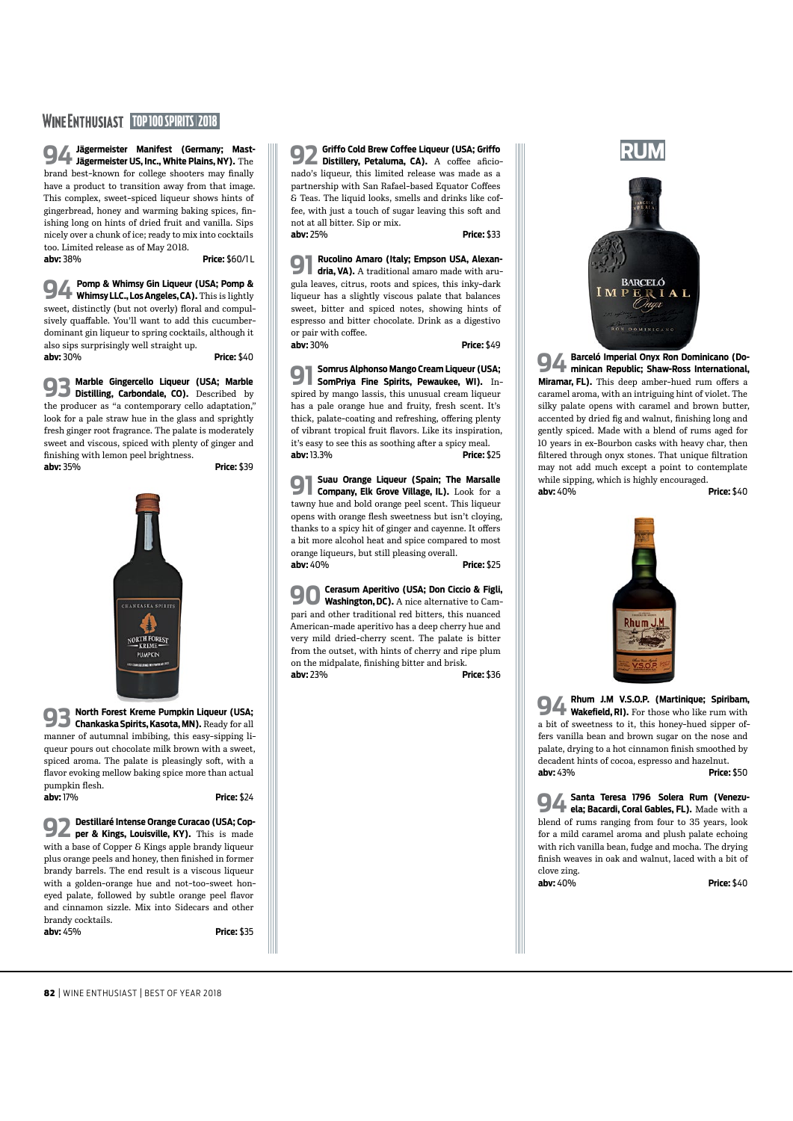#### **WINE ENTHUSIAST TOP 100 SPIRITS 2018**

**94Jägermeister Manifest (Germany; Mast-Jägermeister US, Inc., White Plains, NY).** The brand best-known for college shooters may fnally have a product to transition away from that image. This complex, sweet-spiced liqueur shows hints of gingerbread, honey and warming baking spices, fnishing long on hints of dried fruit and vanilla. Sips nicely over a chunk of ice; ready to mix into cocktails too. Limited release as of May 2018. **abv:** 38% **Price:** \$60/1 L

**94 Pomp & Whimsy Gin Liqueur (USA; Pomp & Whimsy LLC., Los Angeles, CA).** This is lightly sweet, distinctly (but not overly) floral and compulsively quafable. You'll want to add this cucumberdominant gin liqueur to spring cocktails, although it also sips surprisingly well straight up. **abv:** 30% **Price:** \$40

**93 Marble Gingercello Liqueur (USA; Marble Distilling, Carbondale, CO).** Described by the producer as "a contemporary cello adaptation," look for a pale straw hue in the glass and sprightly fresh ginger root fragrance. The palate is moderately sweet and viscous, spiced with plenty of ginger and fnishing with lemon peel brightness.

**922 Griffo Cold Brew Coffee Liqueur (USA; Griffo <br>Distillery, Petaluma, CA).** A coffee aficionado's liqueur, this limited release was made as a partnership with San Rafael-based Equator Cofees & Teas. The liquid looks, smells and drinks like coffee, with just a touch of sugar leaving this soft and not at all bitter. Sip or mix. **abv:** 25% **Price:** \$33

**abv:** 35% **Price:** \$39



**93 North Forest Kreme Pumpkin Liqueur (USA; Chankaska Spirits, Kasota, MN).** Ready for all manner of autumnal imbibing, this easy-sipping liqueur pours out chocolate milk brown with a sweet, spiced aroma. The palate is pleasingly soft, with a favor evoking mellow baking spice more than actual pumpkin flesh. **abv:** 17% **Price:** \$24

**92 Destillaré Intense Orange Curacao (USA; Cop-per & Kings, Louisville, KY).** This is made with a base of Copper & Kings apple brandy liqueur plus orange peels and honey, then fnished in former brandy barrels. The end result is a viscous liqueur with a golden-orange hue and not-too-sweet honeyed palate, followed by subtle orange peel flavor and cinnamon sizzle. Mix into Sidecars and other brandy cocktails. **abv:** 45% **Price:** \$35

**90 Cerasum Aperitivo (USA; Don Ciccio & Figli, Washington, DC).** A nice alternative to Campari and other traditional red bitters, this nuanced American-made aperitivo has a deep cherry hue and very mild dried-cherry scent. The palate is bitter from the outset, with hints of cherry and ripe plum on the midpalate, fnishing bitter and brisk. **abv:** 23% **Price:** \$36

**91 Rucolino Amaro (Italy; Empson USA, Alexan-dria, VA).** A traditional amaro made with arugula leaves, citrus, roots and spices, this inky-dark liqueur has a slightly viscous palate that balances sweet, bitter and spiced notes, showing hints of espresso and bitter chocolate. Drink as a digestivo or pair with coffee. **abv:** 30% **Price:** \$49

**91 Somrus Alphonso Mango Cream Liqueur (USA; SomPriya Fine Spirits, Pewaukee, WI).** Inspired by mango lassis, this unusual cream liqueur has a pale orange hue and fruity, fresh scent. It's thick, palate-coating and refreshing, offering plenty of vibrant tropical fruit favors. Like its inspiration, it's easy to see this as soothing after a spicy meal. **abv:** 13.3% **Price:** \$25

**91 Suau Orange Liqueur (Spain; The Marsalle Company, Elk Grove Village, IL).** Look for a tawny hue and bold orange peel scent. This liqueur opens with orange flesh sweetness but isn't cloying, thanks to a spicy hit of ginger and cayenne. It offers a bit more alcohol heat and spice compared to most orange liqueurs, but still pleasing overall. **abv:** 40% **Price:** \$25



**94 Barceló Imperial Onyx Ron Dominicano (Do-minican Republic; Shaw-Ross International,**  Miramar, FL). This deep amber-hued rum offers a caramel aroma, with an intriguing hint of violet. The silky palate opens with caramel and brown butter, accented by dried fg and walnut, fnishing long and gently spiced. Made with a blend of rums aged for 10 years in ex-Bourbon casks with heavy char, then fltered through onyx stones. That unique fltration may not add much except a point to contemplate while sipping, which is highly encouraged. **abv:** 40% **Price:** \$40

![](_page_3_Picture_23.jpeg)

**94 Rhum J.M V.S.O.P. (Martinique; Spiribam, Wakefield, RI).** For those who like rum with a bit of sweetness to it, this honey-hued sipper offers vanilla bean and brown sugar on the nose and palate, drying to a hot cinnamon fnish smoothed by decadent hints of cocoa, espresso and hazelnut. **abv:** 43% **Price:** \$50

**94Santa Teresa 1796 Solera Rum (Venezu-ela; Bacardi, Coral Gables, FL).** Made with a blend of rums ranging from four to 35 years, look for a mild caramel aroma and plush palate echoing with rich vanilla bean, fudge and mocha. The drying fnish weaves in oak and walnut, laced with a bit of clove zing. **abv:** 40% **Price:** \$40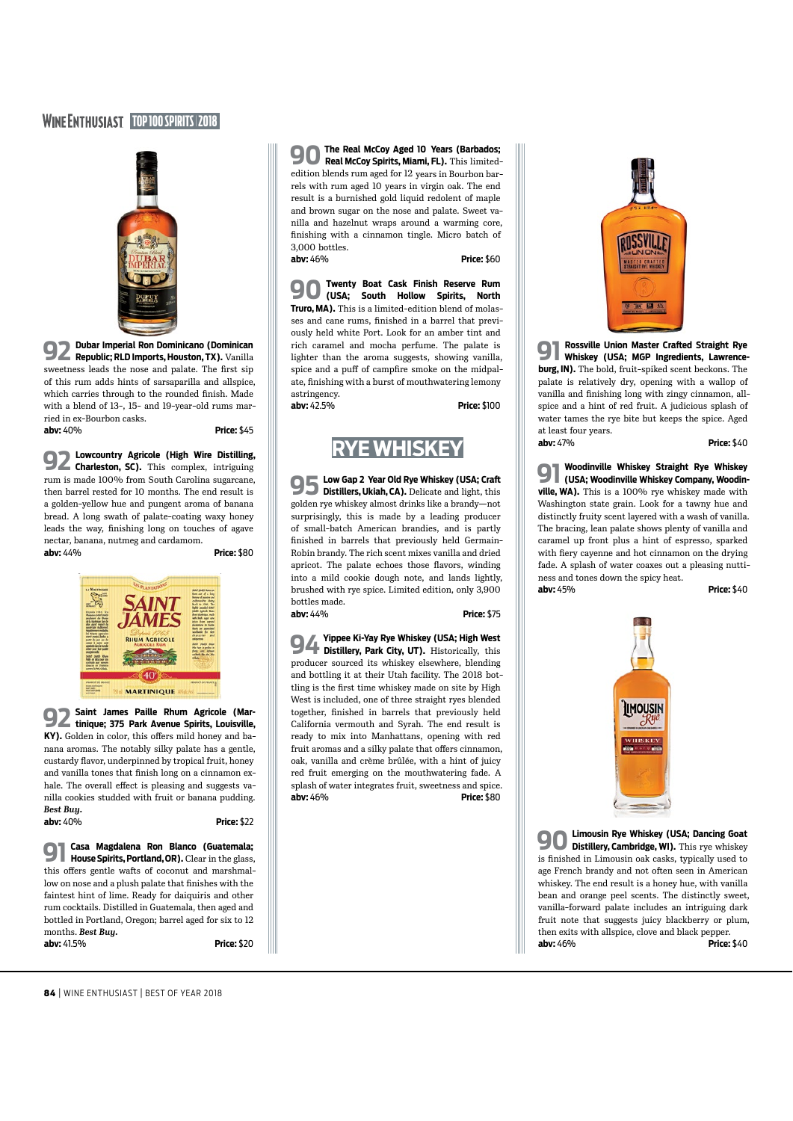#### **WINE ENTHUSIAST TOP 100 SPIRITS 2018**

![](_page_4_Picture_1.jpeg)

**92 Dubar Imperial Ron Dominicano (Dominican Republic; RLD Imports, Houston, TX).** Vanilla sweetness leads the nose and palate. The frst sip of this rum adds hints of sarsaparilla and allspice, which carries through to the rounded fnish. Made with a blend of 13-, 15- and 19-year-old rums married in ex-Bourbon casks.

**abv:** 40% **Price:** \$45

**92 Lowcountry Agricole (High Wire Distilling, Charleston, SC).** This complex, intriguing rum is made 100% from South Carolina sugarcane, then barrel rested for 10 months. The end result is a golden-yellow hue and pungent aroma of banana bread. A long swath of palate-coating waxy honey leads the way, fnishing long on touches of agave nectar, banana, nutmeg and cardamom.

**abv:** 44% **Price:** \$80

![](_page_4_Picture_8.jpeg)

**92 Saint James Paille Rhum Agricole (Mar-tinique; 375 Park Avenue Spirits, Louisville,**  KY). Golden in color, this offers mild honey and banana aromas. The notably silky palate has a gentle, custardy favor, underpinned by tropical fruit, honey and vanilla tones that fnish long on a cinnamon exhale. The overall effect is pleasing and suggests vanilla cookies studded with fruit or banana pudding. *Best Buy.* **abv:** 40% **Price:** \$22

**900** Twenty Boat Cask Finish Reserve Rum<br> **1900** *Tures* Couth Hollow Spirits North **(USA; South Hollow Spirits, North Truro, MA).** This is a limited-edition blend of molasses and cane rums, fnished in a barrel that previously held white Port. Look for an amber tint and rich caramel and mocha perfume. The palate is lighter than the aroma suggests, showing vanilla, spice and a puff of campfire smoke on the midpalate, fnishing with a burst of mouthwatering lemony astringency. **abv:** 42.5% **Price:** \$100

**91 Casa Magdalena Ron Blanco (Guatemala; House Spirits, Portland, OR).** Clear in the glass, this offers gentle wafts of coconut and marshmallow on nose and a plush palate that fnishes with the faintest hint of lime. Ready for daiquiris and other rum cocktails. Distilled in Guatemala, then aged and bottled in Portland, Oregon; barrel aged for six to 12 months. *Best Buy.* **abv:** 41.5% **Price:** \$20

**90The Real McCoy Aged 10 Years (Barbados; Real McCoy Spirits, Miami, FL).** This limitededition blends rum aged for 12 years in Bourbon barrels with rum aged 10 years in virgin oak. The end result is a burnished gold liquid redolent of maple and brown sugar on the nose and palate. Sweet vanilla and hazelnut wraps around a warming core, fnishing with a cinnamon tingle. Micro batch of 3,000 bottles. **abv:** 46% **Price:** \$60

# **RYE WHISKEY**

**95 Low Gap 2 Year Old Rye Whiskey (USA; Cra<sup>f</sup> Distillers, Ukiah, CA).** Delicate and light, this golden rye whiskey almost drinks like a brandy—not surprisingly, this is made by a leading producer of small-batch American brandies, and is partly fnished in barrels that previously held Germain-Robin brandy. The rich scent mixes vanilla and dried apricot. The palate echoes those favors, winding into a mild cookie dough note, and lands lightly, brushed with rye spice. Limited edition, only 3,900 bottles made.

**abv:** 44% **Price:** \$75

**94 Yippee Ki-Yay Rye Whiskey (USA; High West Distillery, Park City, UT).** Historically, this producer sourced its whiskey elsewhere, blending and bottling it at their Utah facility. The 2018 bottling is the frst time whiskey made on site by High West is included, one of three straight ryes blended together, fnished in barrels that previously held California vermouth and Syrah. The end result is ready to mix into Manhattans, opening with red fruit aromas and a silky palate that offers cinnamon, oak, vanilla and crème brûlée, with a hint of juicy red fruit emerging on the mouthwatering fade. A splash of water integrates fruit, sweetness and spice. **abv:** 46% **Price:** \$80

![](_page_4_Picture_19.jpeg)

**91 Rossville Union Master Crafed Straight Rye Whiskey (USA; MGP Ingredients, Lawrenceburg, IN).** The bold, fruit-spiked scent beckons. The palate is relatively dry, opening with a wallop of vanilla and fnishing long with zingy cinnamon, allspice and a hint of red fruit. A judicious splash of water tames the rye bite but keeps the spice. Aged at least four years. **abv:** 47% **Price:** \$40

**91 Woodinville Whiskey Straight Rye Whiskey (USA; Woodinville Whiskey Company, Woodinville, WA).** This is a 100% rye whiskey made with Washington state grain. Look for a tawny hue and distinctly fruity scent layered with a wash of vanilla. The bracing, lean palate shows plenty of vanilla and caramel up front plus a hint of espresso, sparked with fery cayenne and hot cinnamon on the drying fade. A splash of water coaxes out a pleasing nuttiness and tones down the spicy heat. **abv:** 45% **Price:** \$40

![](_page_4_Picture_24.jpeg)

**90Limousin Rye Whiskey (USA; Dancing Goat Distillery, Cambridge, WI).** This rye whiskey is fnished in Limousin oak casks, typically used to age French brandy and not often seen in American whiskey. The end result is a honey hue, with vanilla bean and orange peel scents. The distinctly sweet, vanilla-forward palate includes an intriguing dark fruit note that suggests juicy blackberry or plum, then exits with allspice, clove and black pepper. **abv:** 46% **Price:** \$40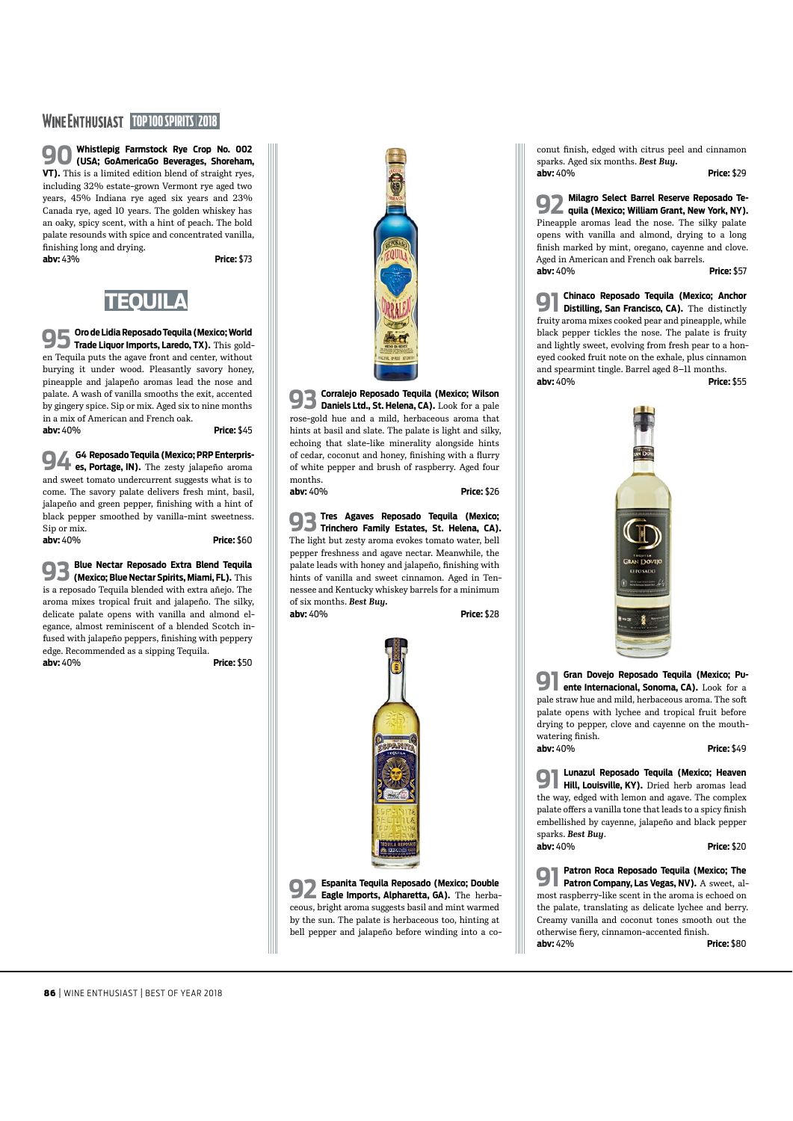#### **WINE ENTHUSIAST TOP 100 SPIRITS 2018**

**90 Whistlepig Farmstock Rye Crop No. 002 (USA; GoAmericaGo Beverages, Shoreham, VT).** This is a limited edition blend of straight ryes, including 32% estate-grown Vermont rye aged two years, 45% Indiana rye aged six years and 23% Canada rye, aged 10 years. The golden whiskey has an oaky, spicy scent, with a hint of peach. The bold palate resounds with spice and concentrated vanilla, fnishing long and drying. **abv:** 43% **Price:** \$73

![](_page_5_Picture_3.jpeg)

**95 Oro de Lidia Reposado Tequila (Mexico; World Trade Liquor Imports, Laredo, TX).** This golden Tequila puts the agave front and center, without burying it under wood. Pleasantly savory honey, pineapple and jalapeño aromas lead the nose and palate. A wash of vanilla smooths the exit, accented by gingery spice. Sip or mix. Aged six to nine months in a mix of American and French oak.

**abv:** 40% **Price:** \$45

**94 G4 Reposado Tequila (Mexico; PRP Enterprises, Portage, IN).** The zesty jalapeño aroma and sweet tomato undercurrent suggests what is to come. The savory palate delivers fresh mint, basil, jalapeño and green pepper, fnishing with a hint of black pepper smoothed by vanilla-mint sweetness. Sip or mix. **abv:** 40% **Price:** \$60

**93 Blue Nectar Reposado Extra Blend Tequila (Mexico; Blue Nectar Spirits, Miami, FL).** This is a reposado Tequila blended with extra añejo. The aroma mixes tropical fruit and jalapeño. The silky, delicate palate opens with vanilla and almond elegance, almost reminiscent of a blended Scotch infused with jalapeño peppers, fnishing with peppery edge. Recommended as a sipping Tequila. **abv:** 40% **Price:** \$50

![](_page_5_Picture_11.jpeg)

**93 Corralejo Reposado Tequila (Mexico; Wilson Daniels Ltd., St. Helena, CA).** Look for a pale rose-gold hue and a mild, herbaceous aroma that hints at basil and slate. The palate is light and silky, echoing that slate-like minerality alongside hints of cedar, coconut and honey, fnishing with a furry of white pepper and brush of raspberry. Aged four months. **abv:** 40% **Price:** \$26

**93 Tres Agaves Reposado Tequila (Mexico; Trinchero Family Estates, St. Helena, CA).** The light but zesty aroma evokes tomato water, bell pepper freshness and agave nectar. Meanwhile, the palate leads with honey and jalapeño, fnishing with hints of vanilla and sweet cinnamon. Aged in Tennessee and Kentucky whiskey barrels for a minimum of six months. *Best Buy.* **abv:** 40% **Price:** \$28

![](_page_5_Picture_16.jpeg)

**92 Espanita Tequila Reposado (Mexico; Double Eagle Imports, Alpharetta, GA).** The herbaceous, bright aroma suggests basil and mint warmed by the sun. The palate is herbaceous too, hinting at bell pepper and jalapeño before winding into a co**abv:**  $40%$ 

conut fnish, edged with citrus peel and cinnamon sparks. Aged six months. *Best Buy.* **abv:** 40% **Price:** \$29

**92 Milagro Select Barrel Reserve Reposado Te-quila (Mexico; William Grant, New York, NY).** Pineapple aromas lead the nose. The silky palate opens with vanilla and almond, drying to a long fnish marked by mint, oregano, cayenne and clove. Aged in American and French oak barrels. **abv:** 40% **Price:** \$57

**91 Chinaco Reposado Tequila (Mexico; Anchor Distilling, San Francisco, CA).** The distinctly fruity aroma mixes cooked pear and pineapple, while black pepper tickles the nose. The palate is fruity and lightly sweet, evolving from fresh pear to a honeyed cooked fruit note on the exhale, plus cinnamon and spearmint tingle. Barrel aged 8–11 months. **abv:** 40% **Price:** \$55

![](_page_5_Picture_20.jpeg)

**91 Gran Dovejo Reposado Tequila (Mexico; Pu-ente Internacional, Sonoma, CA).** Look for a pale straw hue and mild, herbaceous aroma. The sof palate opens with lychee and tropical fruit before drying to pepper, clove and cayenne on the mouthwatering fnish.

**abv:** 40% **Price:** \$49

**91 Lunazul Reposado Tequila (Mexico; Heaven Hill, Louisville, KY).** Dried herb aromas lead the way, edged with lemon and agave. The complex palate offers a vanilla tone that leads to a spicy finish embellished by cayenne, jalapeño and black pepper sparks. *Best Buy*.

![](_page_5_Picture_25.jpeg)

**91 Patron Roca Reposado Tequila (Mexico; The Patron Company, Las Vegas, NV).** A sweet, almost raspberry-like scent in the aroma is echoed on the palate, translating as delicate lychee and berry. Creamy vanilla and coconut tones smooth out the otherwise fery, cinnamon-accented fnish.

**abv:** 42% **Price:** \$80